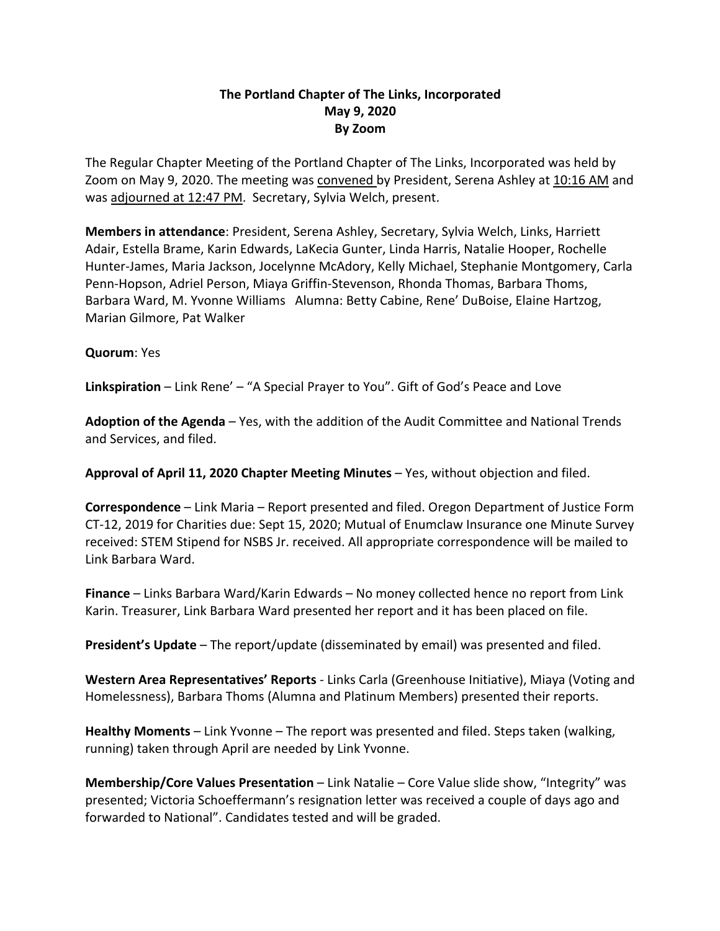# **The Portland Chapter of The Links, Incorporated May 9, 2020 By Zoom**

The Regular Chapter Meeting of the Portland Chapter of The Links, Incorporated was held by Zoom on May 9, 2020. The meeting was convened by President, Serena Ashley at 10:16 AM and was adjourned at 12:47 PM. Secretary, Sylvia Welch, present.

**Members in attendance**: President, Serena Ashley, Secretary, Sylvia Welch, Links, Harriett Adair, Estella Brame, Karin Edwards, LaKecia Gunter, Linda Harris, Natalie Hooper, Rochelle Hunter-James, Maria Jackson, Jocelynne McAdory, Kelly Michael, Stephanie Montgomery, Carla Penn-Hopson, Adriel Person, Miaya Griffin-Stevenson, Rhonda Thomas, Barbara Thoms, Barbara Ward, M. Yvonne Williams Alumna: Betty Cabine, Rene' DuBoise, Elaine Hartzog, Marian Gilmore, Pat Walker

### **Quorum**: Yes

**Linkspiration** – Link Rene' – "A Special Prayer to You". Gift of God's Peace and Love

**Adoption of the Agenda** – Yes, with the addition of the Audit Committee and National Trends and Services, and filed.

**Approval of April 11, 2020 Chapter Meeting Minutes** – Yes, without objection and filed.

**Correspondence** – Link Maria – Report presented and filed. Oregon Department of Justice Form CT-12, 2019 for Charities due: Sept 15, 2020; Mutual of Enumclaw Insurance one Minute Survey received: STEM Stipend for NSBS Jr. received. All appropriate correspondence will be mailed to Link Barbara Ward.

**Finance** – Links Barbara Ward/Karin Edwards – No money collected hence no report from Link Karin. Treasurer, Link Barbara Ward presented her report and it has been placed on file.

**President's Update** – The report/update (disseminated by email) was presented and filed.

**Western Area Representatives' Reports** - Links Carla (Greenhouse Initiative), Miaya (Voting and Homelessness), Barbara Thoms (Alumna and Platinum Members) presented their reports.

**Healthy Moments** – Link Yvonne – The report was presented and filed. Steps taken (walking, running) taken through April are needed by Link Yvonne.

**Membership/Core Values Presentation** – Link Natalie – Core Value slide show, "Integrity" was presented; Victoria Schoeffermann's resignation letter was received a couple of days ago and forwarded to National". Candidates tested and will be graded.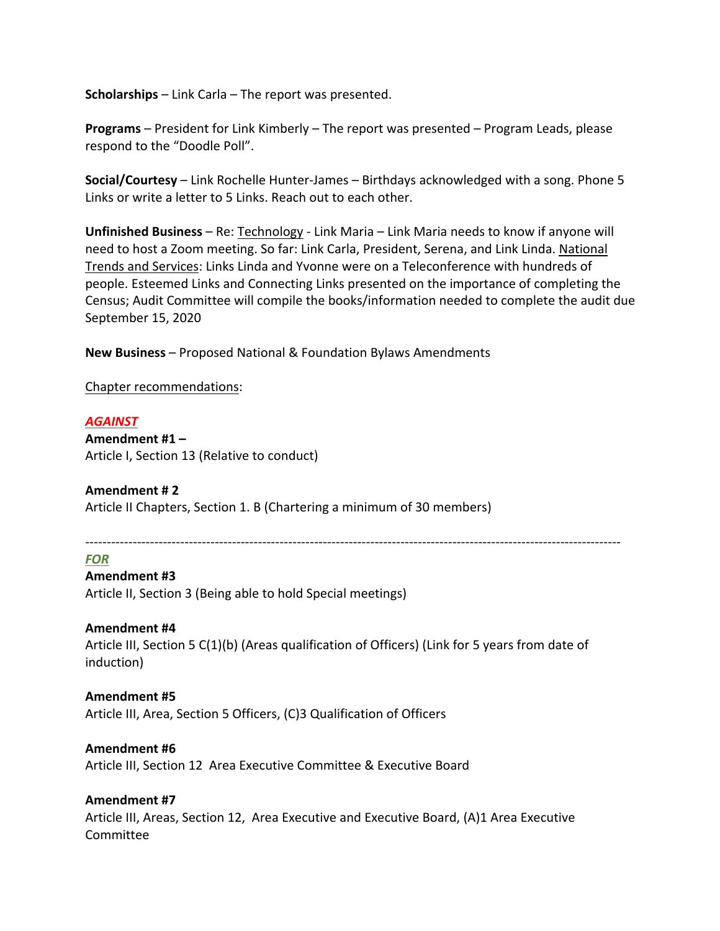**Scholarships** – Link Carla – The report was presented.

**Programs** – President for Link Kimberly – The report was presented – Program Leads, please respond to the "Doodle Poll".

**Social/Courtesy** – Link Rochelle Hunter-James – Birthdays acknowledged with a song. Phone 5 Links or write a letter to 5 Links. Reach out to each other.

**Unfinished Business** – Re: Technology - Link Maria – Link Maria needs to know if anyone will need to host a Zoom meeting. So far: Link Carla, President, Serena, and Link Linda. National Trends and Services: Links Linda and Yvonne were on a Teleconference with hundreds of people. Esteemed Links and Connecting Links presented on the importance of completing the Census; Audit Committee will compile the books/information needed to complete the audit due September 15, 2020

**New Business** – Proposed National & Foundation Bylaws Amendments

Chapter recommendations:

#### *AGAINST*

**Amendment #1 –** Article I, Section 13 (Relative to conduct)

### **Amendment # 2**

Article II Chapters, Section 1. B (Chartering a minimum of 30 members)

----------------------------------------------------------------------------------------------------------------------------

#### *FOR*

### **Amendment #3**

Article II, Section 3 (Being able to hold Special meetings)

### **Amendment #4**

Article III, Section 5 C(1)(b) (Areas qualification of Officers) (Link for 5 years from date of induction)

# **Amendment #5**

Article III, Area, Section 5 Officers, (C)3 Qualification of Officers

### **Amendment #6**

Article III, Section 12 Area Executive Committee & Executive Board

### **Amendment #7**

Article III, Areas, Section 12, Area Executive and Executive Board, (A)1 Area Executive Committee